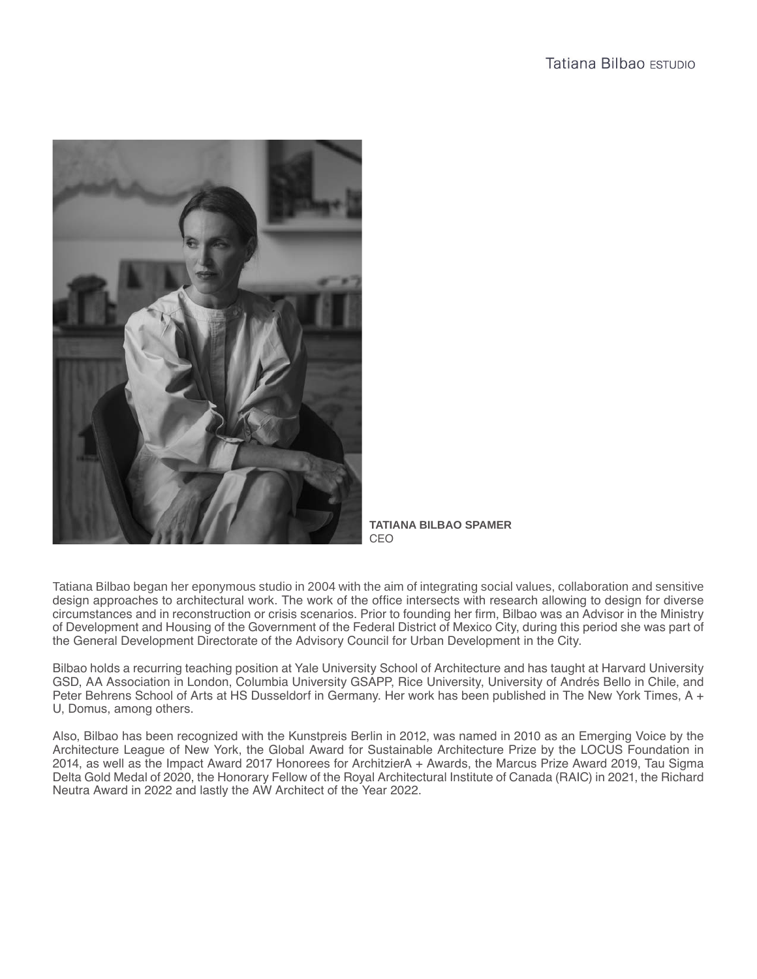

**TATIANA BILBAO SPAMER** CEO

Tatiana Bilbao began her eponymous studio in 2004 with the aim of integrating social values, collaboration and sensitive design approaches to architectural work. The work of the office intersects with research allowing to design for diverse circumstances and in reconstruction or crisis scenarios. Prior to founding her firm, Bilbao was an Advisor in the Ministry of Development and Housing of the Government of the Federal District of Mexico City, during this period she was part of the General Development Directorate of the Advisory Council for Urban Development in the City.

Bilbao holds a recurring teaching position at Yale University School of Architecture and has taught at Harvard University GSD, AA Association in London, Columbia University GSAPP, Rice University, University of Andrés Bello in Chile, and Peter Behrens School of Arts at HS Dusseldorf in Germany. Her work has been published in The New York Times, A + U, Domus, among others.

Also, Bilbao has been recognized with the Kunstpreis Berlin in 2012, was named in 2010 as an Emerging Voice by the Architecture League of New York, the Global Award for Sustainable Architecture Prize by the LOCUS Foundation in 2014, as well as the Impact Award 2017 Honorees for ArchitzierA + Awards, the Marcus Prize Award 2019, Tau Sigma Delta Gold Medal of 2020, the Honorary Fellow of the Royal Architectural Institute of Canada (RAIC) in 2021, the Richard Neutra Award in 2022 and lastly the AW Architect of the Year 2022.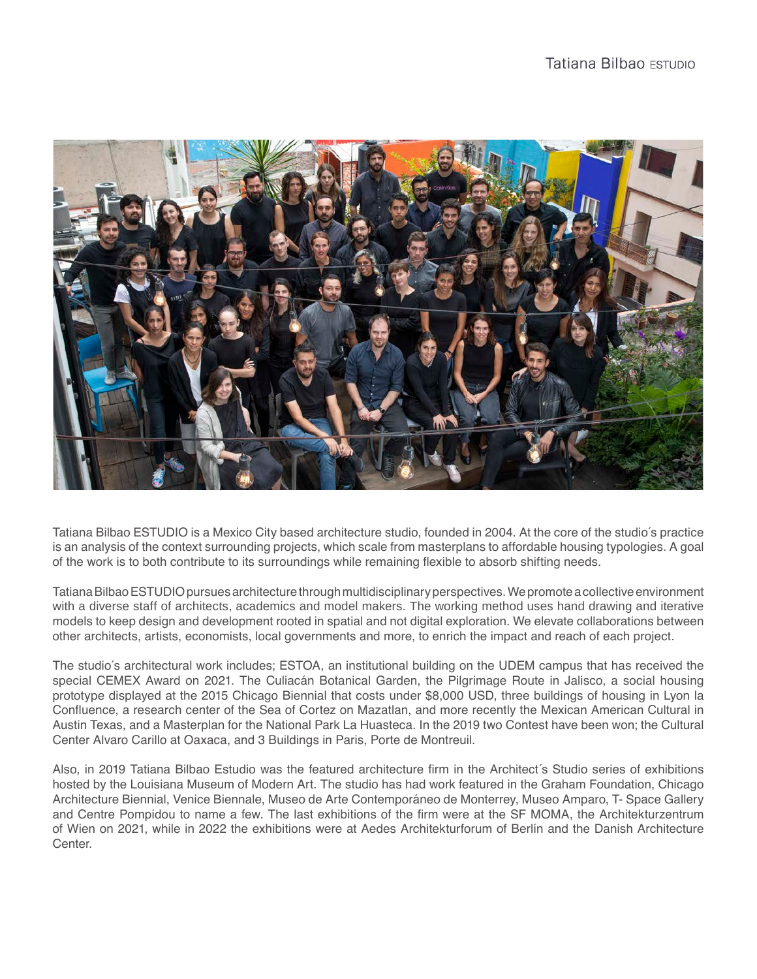

Tatiana Bilbao ESTUDIO is a Mexico City based architecture studio, founded in 2004. At the core of the studio´s practice is an analysis of the context surrounding projects, which scale from masterplans to affordable housing typologies. A goal of the work is to both contribute to its surroundings while remaining flexible to absorb shifting needs.

Tatiana Bilbao ESTUDIO pursues architecture through multidisciplinary perspectives. We promote a collective environment with a diverse staff of architects, academics and model makers. The working method uses hand drawing and iterative models to keep design and development rooted in spatial and not digital exploration. We elevate collaborations between other architects, artists, economists, local governments and more, to enrich the impact and reach of each project.

The studio´s architectural work includes; ESTOA, an institutional building on the UDEM campus that has received the special CEMEX Award on 2021. The Culiacán Botanical Garden, the Pilgrimage Route in Jalisco, a social housing prototype displayed at the 2015 Chicago Biennial that costs under \$8,000 USD, three buildings of housing in Lyon la Confluence, a research center of the Sea of Cortez on Mazatlan, and more recently the Mexican American Cultural in Austin Texas, and a Masterplan for the National Park La Huasteca. In the 2019 two Contest have been won; the Cultural Center Alvaro Carillo at Oaxaca, and 3 Buildings in Paris, Porte de Montreuil.

Also, in 2019 Tatiana Bilbao Estudio was the featured architecture firm in the Architect´s Studio series of exhibitions hosted by the Louisiana Museum of Modern Art. The studio has had work featured in the Graham Foundation, Chicago Architecture Biennial, Venice Biennale, Museo de Arte Contemporáneo de Monterrey, Museo Amparo, T- Space Gallery and Centre Pompidou to name a few. The last exhibitions of the firm were at the SF MOMA, the Architekturzentrum of Wien on 2021, while in 2022 the exhibitions were at Aedes Architekturforum of Berlín and the Danish Architecture Center.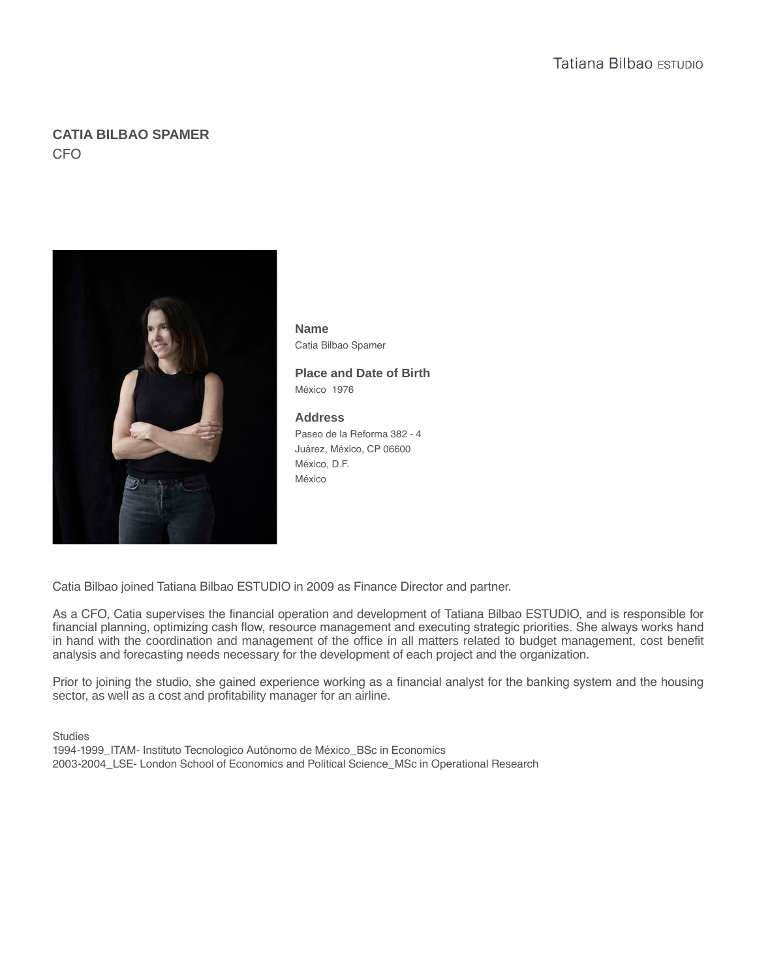# **CATIA BILBAO SPAMER** CFO



**Name** Catia Bilbao Spamer

**Place and Date of Birth** México 1976

# **Address**

Paseo de la Reforma 382 - 4 Juárez, México, CP 06600 México, D.F. México

Catia Bilbao joined Tatiana Bilbao ESTUDIO in 2009 as Finance Director and partner.

As a CFO, Catia supervises the financial operation and development of Tatiana Bilbao ESTUDIO, and is responsible for financial planning, optimizing cash flow, resource management and executing strategic priorities. She always works hand in hand with the coordination and management of the office in all matters related to budget management, cost benefit analysis and forecasting needs necessary for the development of each project and the organization.

Prior to joining the studio, she gained experience working as a financial analyst for the banking system and the housing sector, as well as a cost and profitability manager for an airline.

**Studies** 1994-1999 ITAM- Instituto Tecnologico Autónomo de México BSc in Economics 2003-2004\_LSE- London School of Economics and Political Science\_MSc in Operational Research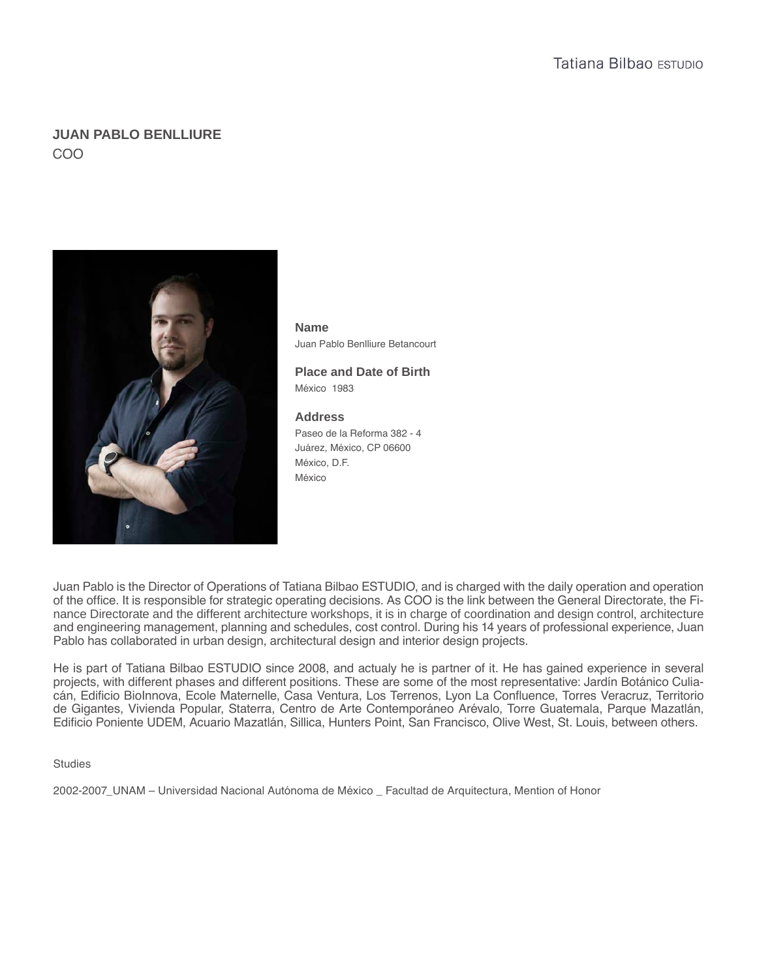# **JUAN PABLO BENLLIURE**  COO



**Name** Juan Pablo Benlliure Betancourt

**Place and Date of Birth** México 1983

# **Address**

Paseo de la Reforma 382 - 4 Juárez, México, CP 06600 México, D.F. México

Juan Pablo is the Director of Operations of Tatiana Bilbao ESTUDIO, and is charged with the daily operation and operation of the office. It is responsible for strategic operating decisions. As COO is the link between the General Directorate, the Finance Directorate and the different architecture workshops, it is in charge of coordination and design control, architecture and engineering management, planning and schedules, cost control. During his 14 years of professional experience, Juan Pablo has collaborated in urban design, architectural design and interior design projects.

He is part of Tatiana Bilbao ESTUDIO since 2008, and actualy he is partner of it. He has gained experience in several projects, with different phases and different positions. These are some of the most representative: Jardín Botánico Culiacán, Edificio BioInnova, Ecole Maternelle, Casa Ventura, Los Terrenos, Lyon La Confluence, Torres Veracruz, Territorio de Gigantes, Vivienda Popular, Staterra, Centro de Arte Contemporáneo Arévalo, Torre Guatemala, Parque Mazatlán, Edificio Poniente UDEM, Acuario Mazatlán, Sillica, Hunters Point, San Francisco, Olive West, St. Louis, between others.

### **Studies**

2002-2007\_UNAM – Universidad Nacional Autónoma de México \_ Facultad de Arquitectura, Mention of Honor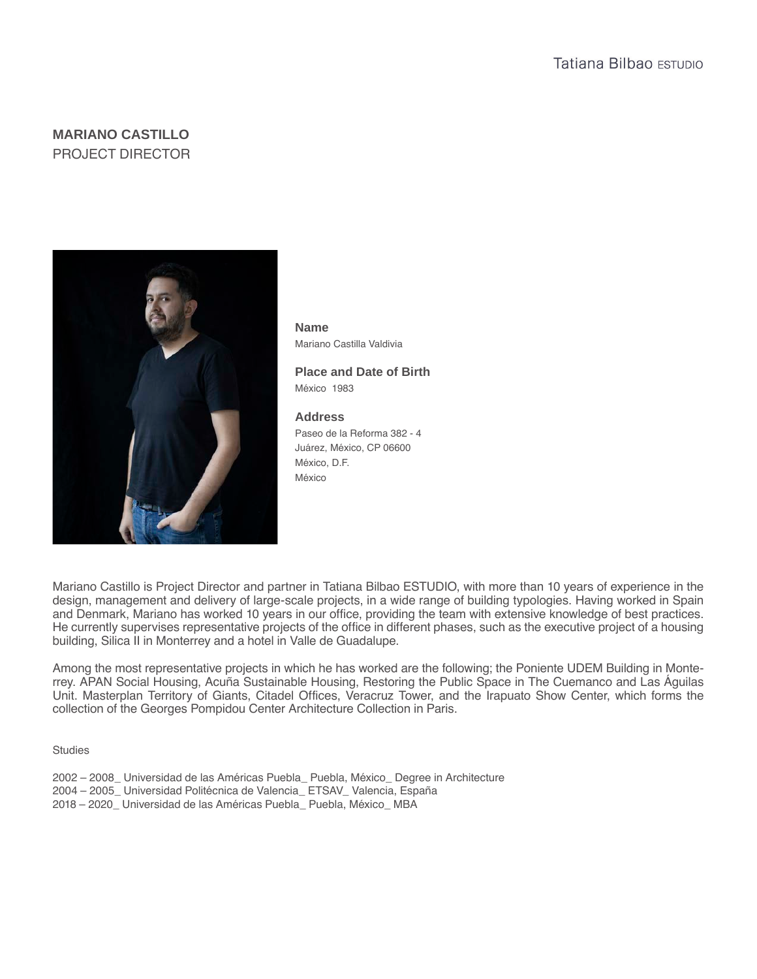# **MARIANO CASTILLO** PROJECT DIRECTOR



**Name** Mariano Castilla Valdivia

**Place and Date of Birth** México 1983

# **Address**

Paseo de la Reforma 382 - 4 Juárez, México, CP 06600 México, D.F. México

Mariano Castillo is Project Director and partner in Tatiana Bilbao ESTUDIO, with more than 10 years of experience in the design, management and delivery of large-scale projects, in a wide range of building typologies. Having worked in Spain and Denmark, Mariano has worked 10 years in our office, providing the team with extensive knowledge of best practices. He currently supervises representative projects of the office in different phases, such as the executive project of a housing building, Silica II in Monterrey and a hotel in Valle de Guadalupe.

Among the most representative projects in which he has worked are the following; the Poniente UDEM Building in Monterrey. APAN Social Housing, Acuña Sustainable Housing, Restoring the Public Space in The Cuemanco and Las Águilas Unit. Masterplan Territory of Giants, Citadel Offices, Veracruz Tower, and the Irapuato Show Center, which forms the collection of the Georges Pompidou Center Architecture Collection in Paris.

**Studies** 

- 2002 2008\_ Universidad de las Américas Puebla\_ Puebla, México\_ Degree in Architecture
- 2004 2005\_ Universidad Politécnica de Valencia\_ ETSAV\_ Valencia, España
- 2018 2020\_ Universidad de las Américas Puebla\_ Puebla, México\_ MBA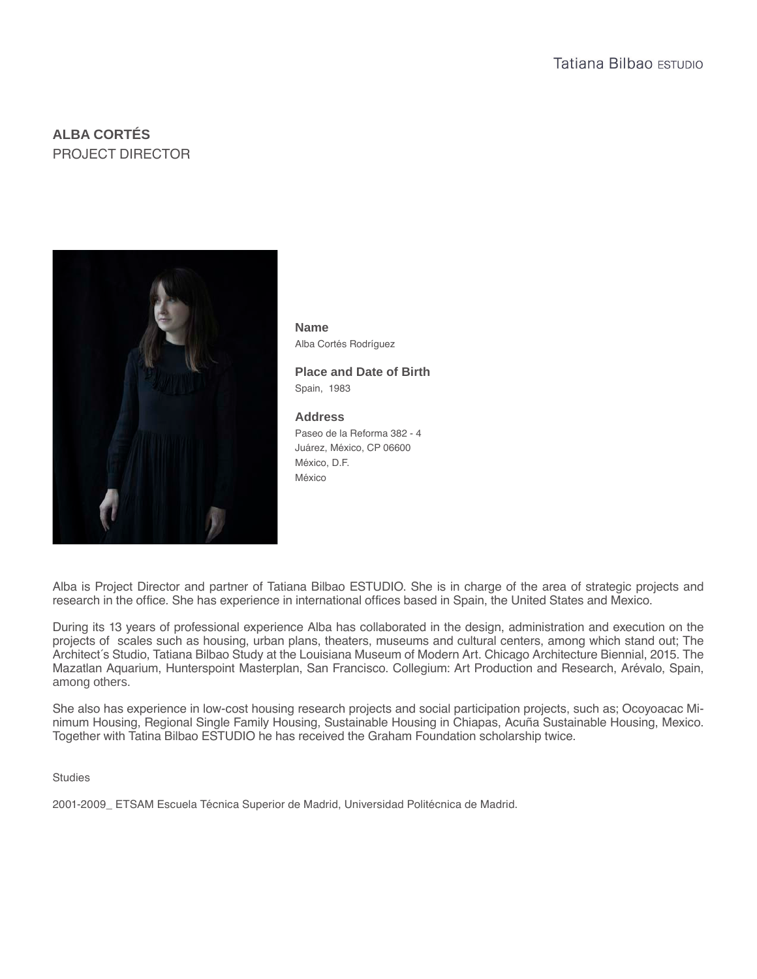# **ALBA CORTÉS** PROJECT DIRECTOR



**Name** Alba Cortés Rodríguez

**Place and Date of Birth** Spain, 1983

## **Address**

Paseo de la Reforma 382 - 4 Juárez, México, CP 06600 México, D.F. México

Alba is Project Director and partner of Tatiana Bilbao ESTUDIO. She is in charge of the area of strategic projects and research in the office. She has experience in international offices based in Spain, the United States and Mexico.

During its 13 years of professional experience Alba has collaborated in the design, administration and execution on the projects of scales such as housing, urban plans, theaters, museums and cultural centers, among which stand out; The Architect´s Studio, Tatiana Bilbao Study at the Louisiana Museum of Modern Art. Chicago Architecture Biennial, 2015. The Mazatlan Aquarium, Hunterspoint Masterplan, San Francisco. Collegium: Art Production and Research, Arévalo, Spain, among others.

She also has experience in low-cost housing research projects and social participation projects, such as; Ocoyoacac Minimum Housing, Regional Single Family Housing, Sustainable Housing in Chiapas, Acuña Sustainable Housing, Mexico. Together with Tatina Bilbao ESTUDIO he has received the Graham Foundation scholarship twice.

### **Studies**

2001-2009\_ ETSAM Escuela Técnica Superior de Madrid, Universidad Politécnica de Madrid.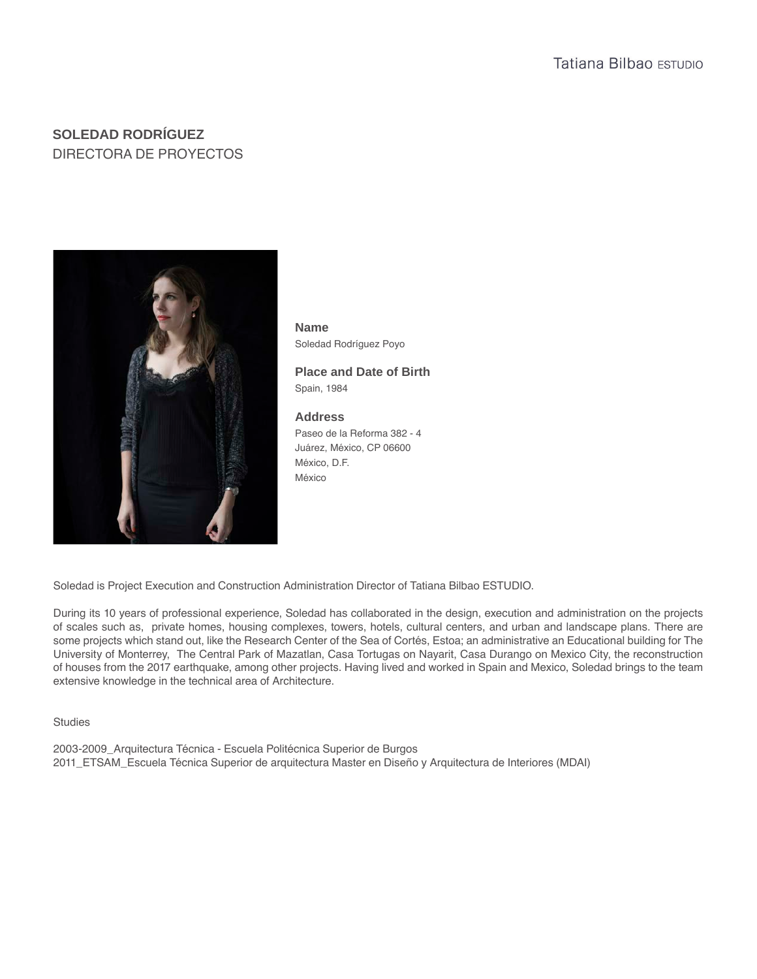# **SOLEDAD RODRÍGUEZ** DIRECTORA DE PROYECTOS



Soledad Rodríguez Poyo **Name**

Spain, 1984 **Place and Date of Birth**

## **Address**

Paseo de la Reforma 382 - 4 Juárez, México, CP 06600 México, D.F. México

Soledad is Project Execution and Construction Administration Director of Tatiana Bilbao ESTUDIO.

During its 10 years of professional experience, Soledad has collaborated in the design, execution and administration on the projects of scales such as, private homes, housing complexes, towers, hotels, cultural centers, and urban and landscape plans. There are some projects which stand out, like the Research Center of the Sea of Cortés, Estoa; an administrative an Educational building for The University of Monterrey, The Central Park of Mazatlan, Casa Tortugas on Nayarit, Casa Durango on Mexico City, the reconstruction of houses from the 2017 earthquake, among other projects. Having lived and worked in Spain and Mexico, Soledad brings to the team extensive knowledge in the technical area of Architecture.

Studies

2003-2009\_Arquitectura Técnica - Escuela Politécnica Superior de Burgos 2011\_ETSAM\_Escuela Técnica Superior de arquitectura Master en Diseño y Arquitectura de Interiores (MDAI)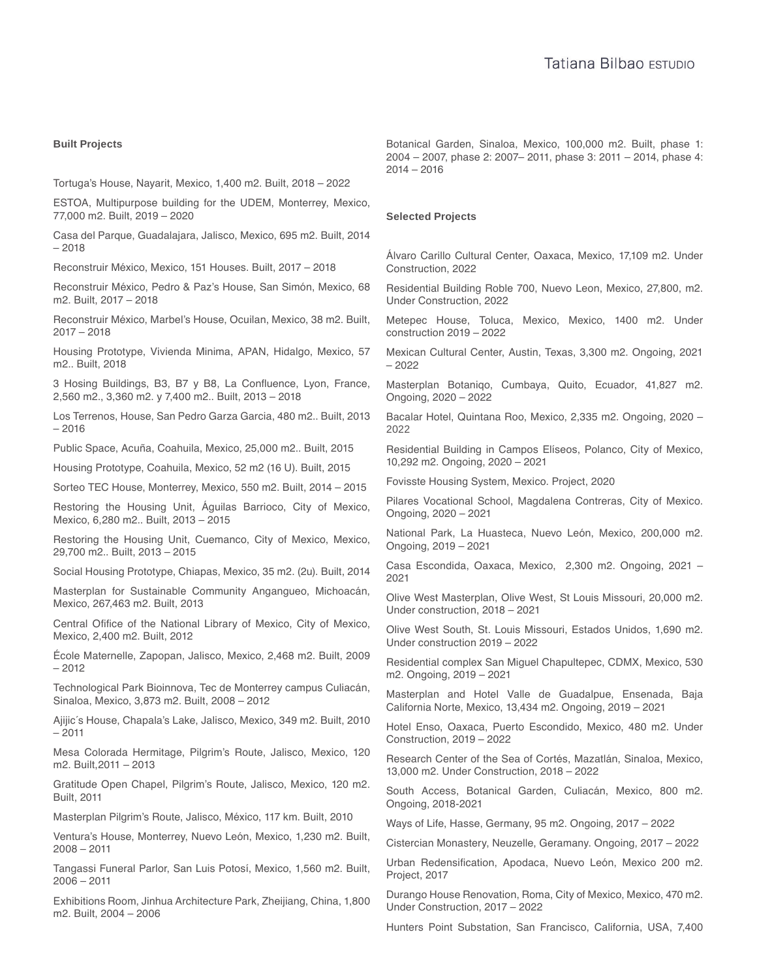#### **Built Projects**

Tortuga's House, Nayarit, Mexico, 1,400 m2. Built, 2018 – 2022

ESTOA, Multipurpose building for the UDEM, Monterrey, Mexico, 77,000 m2. Built, 2019 – 2020

Casa del Parque, Guadalajara, Jalisco, Mexico, 695 m2. Built, 2014 – 2018

Reconstruir México, Mexico, 151 Houses. Built, 2017 – 2018

Reconstruir México, Pedro & Paz's House, San Simón, Mexico, 68 m2. Built, 2017 – 2018

Reconstruir México, Marbel's House, Ocuilan, Mexico, 38 m2. Built, 2017 – 2018

Housing Prototype, Vivienda Minima, APAN, Hidalgo, Mexico, 57 m2.. Built, 2018

3 Hosing Buildings, B3, B7 y B8, La Confluence, Lyon, France, 2,560 m2., 3,360 m2. y 7,400 m2.. Built, 2013 – 2018

Los Terrenos, House, San Pedro Garza Garcia, 480 m2.. Built, 2013 – 2016

Public Space, Acuña, Coahuila, Mexico, 25,000 m2.. Built, 2015

Housing Prototype, Coahuila, Mexico, 52 m2 (16 U). Built, 2015

Sorteo TEC House, Monterrey, Mexico, 550 m2. Built, 2014 – 2015

Restoring the Housing Unit, Águilas Barrioco, City of Mexico, Mexico, 6,280 m2.. Built, 2013 – 2015

Restoring the Housing Unit, Cuemanco, City of Mexico, Mexico, 29,700 m2.. Built, 2013 – 2015

Social Housing Prototype, Chiapas, Mexico, 35 m2. (2u). Built, 2014

Masterplan for Sustainable Community Angangueo, Michoacán, Mexico, 267,463 m2. Built, 2013

Central Ofifice of the National Library of Mexico, City of Mexico, Mexico, 2,400 m2. Built, 2012

École Maternelle, Zapopan, Jalisco, Mexico, 2,468 m2. Built, 2009 – 2012

Technological Park Bioinnova, Tec de Monterrey campus Culiacán, Sinaloa, Mexico, 3,873 m2. Built, 2008 – 2012

Ajijic´s House, Chapala's Lake, Jalisco, Mexico, 349 m2. Built, 2010 – 2011

Mesa Colorada Hermitage, Pilgrim's Route, Jalisco, Mexico, 120 m2. Built,2011 – 2013

Gratitude Open Chapel, Pilgrim's Route, Jalisco, Mexico, 120 m2. Built, 2011

Masterplan Pilgrim's Route, Jalisco, México, 117 km. Built, 2010

Ventura's House, Monterrey, Nuevo León, Mexico, 1,230 m2. Built, 2008 – 2011

Tangassi Funeral Parlor, San Luis Potosí, Mexico, 1,560 m2. Built, 2006 – 2011

Exhibitions Room, Jinhua Architecture Park, Zheijiang, China, 1,800 m2. Built, 2004 – 2006

Botanical Garden, Sinaloa, Mexico, 100,000 m2. Built, phase 1: 2004 – 2007, phase 2: 2007– 2011, phase 3: 2011 – 2014, phase 4: 2014 – 2016

#### **Selected Projects**

Álvaro Carillo Cultural Center, Oaxaca, Mexico, 17,109 m2. Under Construction, 2022

Residential Building Roble 700, Nuevo Leon, Mexico, 27,800, m2. Under Construction, 2022

Metepec House, Toluca, Mexico, Mexico, 1400 m2. Under construction 2019 – 2022

Mexican Cultural Center, Austin, Texas, 3,300 m2. Ongoing, 2021 – 2022

Masterplan Botaniqo, Cumbaya, Quito, Ecuador, 41,827 m2. Ongoing, 2020 – 2022

Bacalar Hotel, Quintana Roo, Mexico, 2,335 m2. Ongoing, 2020 – 2022

Residential Building in Campos Elíseos, Polanco, City of Mexico, 10,292 m2. Ongoing, 2020 – 2021

Fovisste Housing System, Mexico. Project, 2020

Pilares Vocational School, Magdalena Contreras, City of Mexico. Ongoing, 2020 – 2021

National Park, La Huasteca, Nuevo León, Mexico, 200,000 m2. Ongoing, 2019 – 2021

Casa Escondida, Oaxaca, Mexico, 2,300 m2. Ongoing, 2021 – 2021

Olive West Masterplan, Olive West, St Louis Missouri, 20,000 m2. Under construction, 2018 – 2021

Olive West South, St. Louis Missouri, Estados Unidos, 1,690 m2. Under construction 2019 – 2022

Residential complex San Miguel Chapultepec, CDMX, Mexico, 530 m2. Ongoing, 2019 – 2021

Masterplan and Hotel Valle de Guadalpue, Ensenada, Baja California Norte, Mexico, 13,434 m2. Ongoing, 2019 – 2021

Hotel Enso, Oaxaca, Puerto Escondido, Mexico, 480 m2. Under Construction, 2019 – 2022

Research Center of the Sea of Cortés, Mazatlán, Sinaloa, Mexico, 13,000 m2. Under Construction, 2018 – 2022

South Access, Botanical Garden, Culiacán, Mexico, 800 m2. Ongoing, 2018-2021

Ways of Life, Hasse, Germany, 95 m2. Ongoing, 2017 – 2022

Cistercian Monastery, Neuzelle, Geramany. Ongoing, 2017 – 2022

Urban Redensification, Apodaca, Nuevo León, Mexico 200 m2. Project, 2017

Durango House Renovation, Roma, City of Mexico, Mexico, 470 m2. Under Construction, 2017 – 2022

Hunters Point Substation, San Francisco, California, USA, 7,400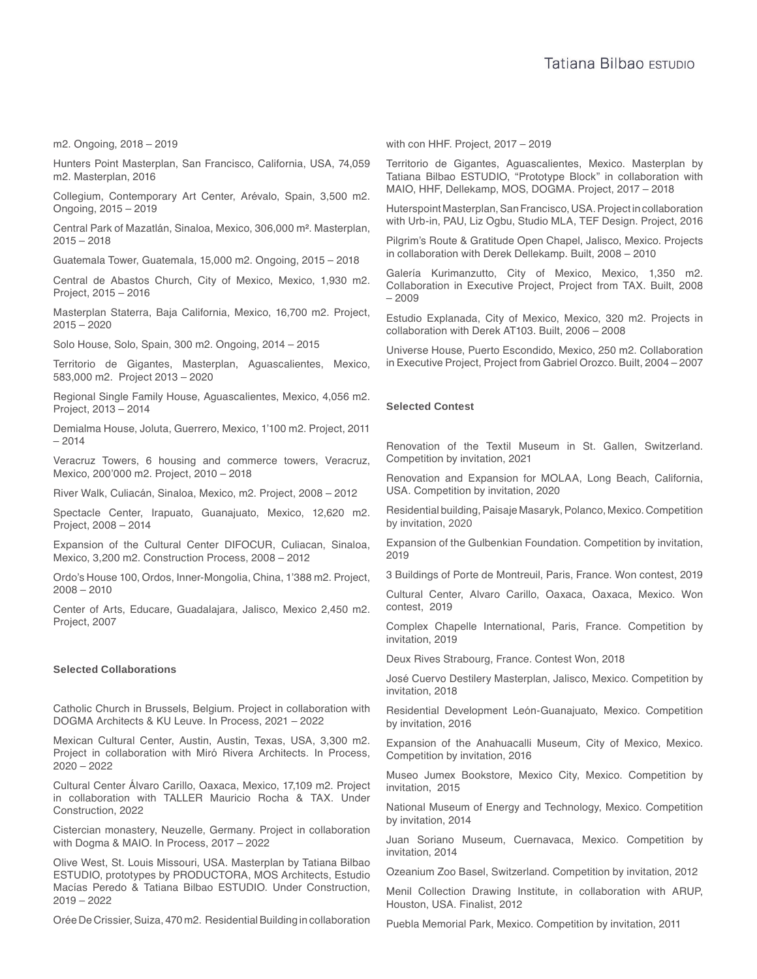m2. Ongoing, 2018 – 2019

Hunters Point Masterplan, San Francisco, California, USA, 74,059 m2. Masterplan, 2016

Collegium, Contemporary Art Center, Arévalo, Spain, 3,500 m2. Ongoing, 2015 – 2019

Central Park of Mazatlán, Sinaloa, Mexico, 306,000 m². Masterplan, 2015 – 2018

Guatemala Tower, Guatemala, 15,000 m2. Ongoing, 2015 – 2018

Central de Abastos Church, City of Mexico, Mexico, 1,930 m2. Project, 2015 – 2016

Masterplan Staterra, Baja California, Mexico, 16,700 m2. Project, 2015 – 2020

Solo House, Solo, Spain, 300 m2. Ongoing, 2014 – 2015

Territorio de Gigantes, Masterplan, Aguascalientes, Mexico, 583,000 m2. Project 2013 – 2020

Regional Single Family House, Aguascalientes, Mexico, 4,056 m2. Project, 2013 – 2014

Demialma House, Joluta, Guerrero, Mexico, 1'100 m2. Project, 2011 – 2014

Veracruz Towers, 6 housing and commerce towers, Veracruz, Mexico, 200'000 m2. Project, 2010 – 2018

River Walk, Culiacán, Sinaloa, Mexico, m2. Project, 2008 – 2012

Spectacle Center, Irapuato, Guanajuato, Mexico, 12,620 m2. Project, 2008 – 2014

Expansion of the Cultural Center DIFOCUR, Culiacan, Sinaloa, Mexico, 3,200 m2. Construction Process, 2008 – 2012

Ordo's House 100, Ordos, Inner-Mongolia, China, 1'388 m2. Project, 2008 – 2010

Center of Arts, Educare, Guadalajara, Jalisco, Mexico 2,450 m2. Project, 2007

#### **Selected Collaborations**

Catholic Church in Brussels, Belgium. Project in collaboration with DOGMA Architects & KU Leuve. In Process, 2021 – 2022

Mexican Cultural Center, Austin, Austin, Texas, USA, 3,300 m2. Project in collaboration with Miró Rivera Architects. In Process, 2020 – 2022

Cultural Center Álvaro Carillo, Oaxaca, Mexico, 17,109 m2. Project in collaboration with TALLER Mauricio Rocha & TAX. Under Construction, 2022

Cistercian monastery, Neuzelle, Germany. Project in collaboration with Dogma & MAIO. In Process, 2017 – 2022

Olive West, St. Louis Missouri, USA. Masterplan by Tatiana Bilbao ESTUDIO, prototypes by PRODUCTORA, MOS Architects, Estudio Macías Peredo & Tatiana Bilbao ESTUDIO. Under Construction, 2019 – 2022

Orée De Crissier, Suiza, 470 m2. Residential Building in collaboration

with con HHF. Project, 2017 – 2019

Territorio de Gigantes, Aguascalientes, Mexico. Masterplan by Tatiana Bilbao ESTUDIO, "Prototype Block" in collaboration with MAIO, HHF, Dellekamp, MOS, DOGMA. Project, 2017 – 2018

Huterspoint Masterplan, San Francisco, USA. Project in collaboration with Urb-in, PAU, Liz Ogbu, Studio MLA, TEF Design. Project, 2016

Pilgrim's Route & Gratitude Open Chapel, Jalisco, Mexico. Projects in collaboration with Derek Dellekamp. Built, 2008 – 2010

Galería Kurimanzutto, City of Mexico, Mexico, 1,350 m2. Collaboration in Executive Project, Project from TAX. Built, 2008 – 2009

Estudio Explanada, City of Mexico, Mexico, 320 m2. Projects in collaboration with Derek AT103. Built, 2006 – 2008

Universe House, Puerto Escondido, Mexico, 250 m2. Collaboration in Executive Project, Project from Gabriel Orozco. Built, 2004 – 2007

#### **Selected Contest**

Renovation of the Textil Museum in St. Gallen, Switzerland. Competition by invitation, 2021

Renovation and Expansion for MOLAA, Long Beach, California, USA. Competition by invitation, 2020

Residential building, Paisaje Masaryk, Polanco, Mexico. Competition by invitation, 2020

Expansion of the Gulbenkian Foundation. Competition by invitation, 2019

3 Buildings of Porte de Montreuil, Paris, France. Won contest, 2019

Cultural Center, Alvaro Carillo, Oaxaca, Oaxaca, Mexico. Won contest, 2019

Complex Chapelle International, Paris, France. Competition by invitation, 2019

Deux Rives Strabourg, France. Contest Won, 2018

José Cuervo Destilery Masterplan, Jalisco, Mexico. Competition by invitation, 2018

Residential Development León-Guanajuato, Mexico. Competition by invitation, 2016

Expansion of the Anahuacalli Museum, City of Mexico, Mexico. Competition by invitation, 2016

Museo Jumex Bookstore, Mexico City, Mexico. Competition by invitation, 2015

National Museum of Energy and Technology, Mexico. Competition by invitation, 2014

Juan Soriano Museum, Cuernavaca, Mexico. Competition by invitation, 2014

Ozeanium Zoo Basel, Switzerland. Competition by invitation, 2012

Menil Collection Drawing Institute, in collaboration with ARUP, Houston, USA. Finalist, 2012

Puebla Memorial Park, Mexico. Competition by invitation, 2011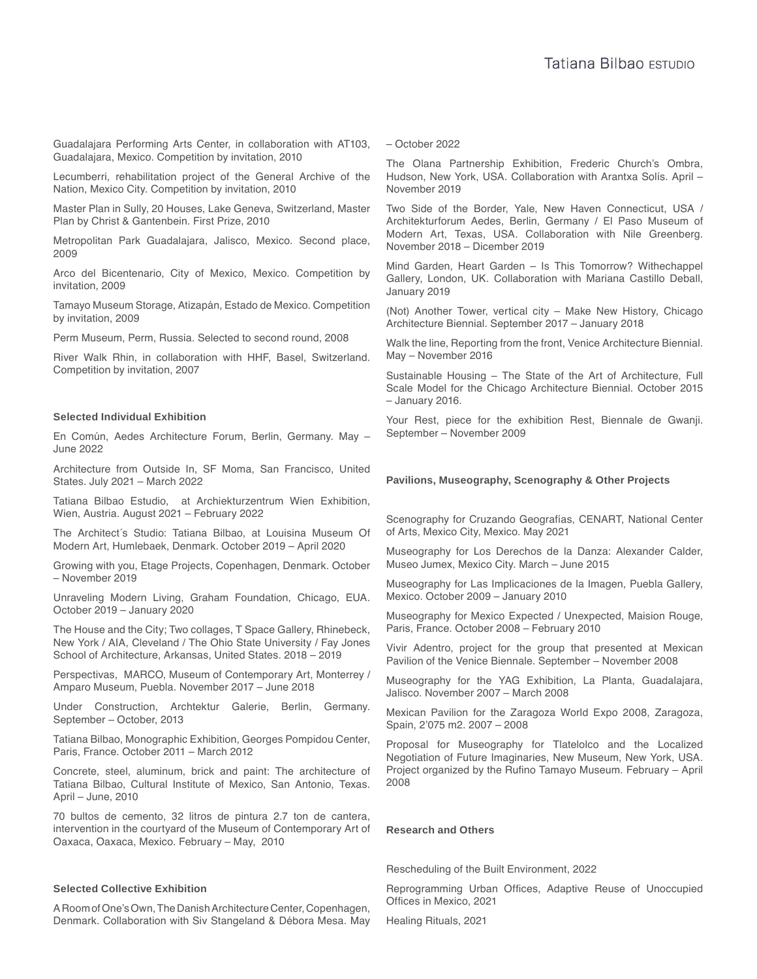Guadalajara Performing Arts Center, in collaboration with AT103, Guadalajara, Mexico. Competition by invitation, 2010

Lecumberri, rehabilitation project of the General Archive of the Nation, Mexico City. Competition by invitation, 2010

Master Plan in Sully, 20 Houses, Lake Geneva, Switzerland, Master Plan by Christ & Gantenbein. First Prize, 2010

Metropolitan Park Guadalajara, Jalisco, Mexico. Second place, 2009

Arco del Bicentenario, City of Mexico, Mexico. Competition by invitation, 2009

Tamayo Museum Storage, Atizapán, Estado de Mexico. Competition by invitation, 2009

Perm Museum, Perm, Russia. Selected to second round, 2008

River Walk Rhin, in collaboration with HHF, Basel, Switzerland. Competition by invitation, 2007

#### **Selected Individual Exhibition**

En Común, Aedes Architecture Forum, Berlin, Germany. May – June 2022

Architecture from Outside In, SF Moma, San Francisco, United States. July 2021 – March 2022

Tatiana Bilbao Estudio, at Archiekturzentrum Wien Exhibition, Wien, Austria. August 2021 – February 2022

The Architect´s Studio: Tatiana Bilbao, at Louisina Museum Of Modern Art, Humlebaek, Denmark. October 2019 – April 2020

Growing with you, Etage Projects, Copenhagen, Denmark. October – November 2019

Unraveling Modern Living, Graham Foundation, Chicago, EUA. October 2019 – January 2020

The House and the City; Two collages, T Space Gallery, Rhinebeck, New York / AIA, Cleveland / The Ohio State University / Fay Jones School of Architecture, Arkansas, United States. 2018 – 2019

Perspectivas, MARCO, Museum of Contemporary Art, Monterrey / Amparo Museum, Puebla. November 2017 – June 2018

Under Construction, Archtektur Galerie, Berlin, Germany. September – October, 2013

Tatiana Bilbao, Monographic Exhibition, Georges Pompidou Center, Paris, France. October 2011 – March 2012

Concrete, steel, aluminum, brick and paint: The architecture of Tatiana Bilbao, Cultural Institute of Mexico, San Antonio, Texas. April – June, 2010

70 bultos de cemento, 32 litros de pintura 2.7 ton de cantera, intervention in the courtyard of the Museum of Contemporary Art of Oaxaca, Oaxaca, Mexico. February – May, 2010

#### **Selected Collective Exhibition**

A Room of One's Own, The Danish Architecture Center, Copenhagen, Denmark. Collaboration with Siv Stangeland & Débora Mesa. May – October 2022

The Olana Partnership Exhibition, Frederic Church's Ombra, Hudson, New York, USA. Collaboration with Arantxa Solís. April – November 2019

Two Side of the Border, Yale, New Haven Connecticut, USA / Architekturforum Aedes, Berlin, Germany / El Paso Museum of Modern Art, Texas, USA. Collaboration with Nile Greenberg. November 2018 – Dicember 2019

Mind Garden, Heart Garden – Is This Tomorrow? Withechappel Gallery, London, UK. Collaboration with Mariana Castillo Deball, January 2019

(Not) Another Tower, vertical city – Make New History, Chicago Architecture Biennial. September 2017 – January 2018

Walk the line, Reporting from the front, Venice Architecture Biennial. May – November 2016

Sustainable Housing – The State of the Art of Architecture, Full Scale Model for the Chicago Architecture Biennial. October 2015 – January 2016.

Your Rest, piece for the exhibition Rest, Biennale de Gwanji. September – November 2009

#### **Pavilions, Museography, Scenography & Other Projects**

Scenography for Cruzando Geografías, CENART, National Center of Arts, Mexico City, Mexico. May 2021

Museography for Los Derechos de la Danza: Alexander Calder, Museo Jumex, Mexico City. March – June 2015

Museography for Las Implicaciones de la Imagen, Puebla Gallery, Mexico. October 2009 – January 2010

Museography for Mexico Expected / Unexpected, Maision Rouge, Paris, France. October 2008 – February 2010

Vivir Adentro, project for the group that presented at Mexican Pavilion of the Venice Biennale. September – November 2008

Museography for the YAG Exhibition, La Planta, Guadalajara, Jalisco. November 2007 – March 2008

Mexican Pavilion for the Zaragoza World Expo 2008, Zaragoza, Spain, 2'075 m2. 2007 – 2008

Proposal for Museography for Tlatelolco and the Localized Negotiation of Future Imaginaries, New Museum, New York, USA. Project organized by the Rufino Tamayo Museum. February – April 2008

#### **Research and Others**

Rescheduling of the Built Environment, 2022

Reprogramming Urban Offices, Adaptive Reuse of Unoccupied Offices in Mexico, 2021

Healing Rituals, 2021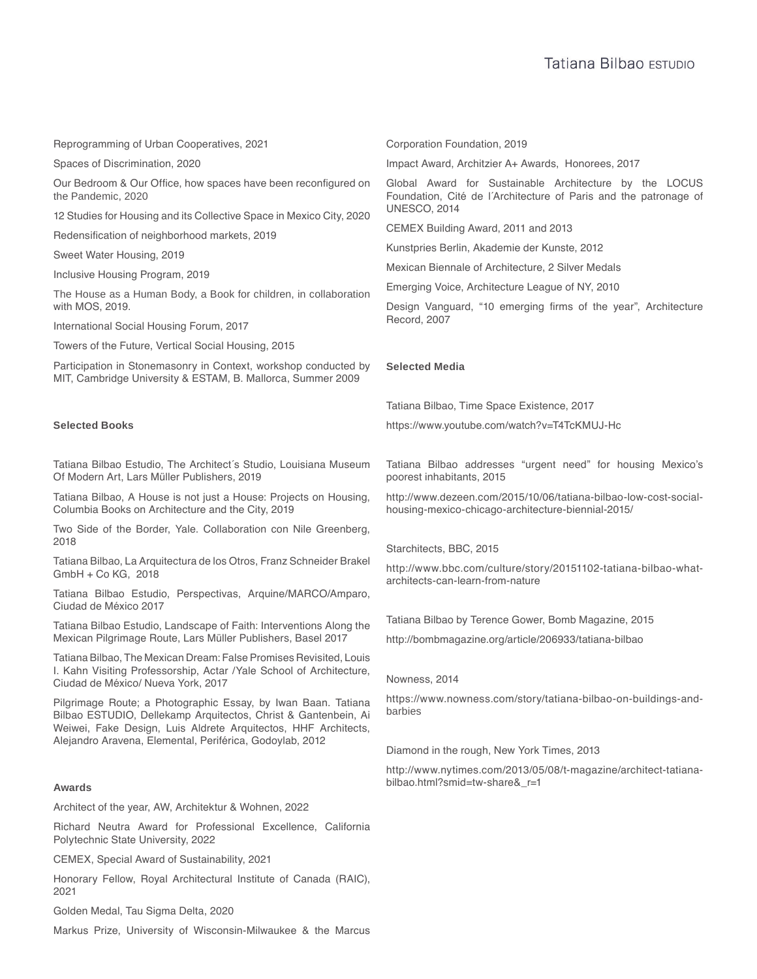Reprogramming of Urban Cooperatives, 2021

Spaces of Discrimination, 2020

Our Bedroom & Our Office, how spaces have been reconfigured on the Pandemic, 2020

12 Studies for Housing and its Collective Space in Mexico City, 2020

Redensification of neighborhood markets, 2019

Sweet Water Housing, 2019

Inclusive Housing Program, 2019

The House as a Human Body, a Book for children, in collaboration with MOS, 2019.

International Social Housing Forum, 2017

Towers of the Future, Vertical Social Housing, 2015

Participation in Stonemasonry in Context, workshop conducted by MIT, Cambridge University & ESTAM, B. Mallorca, Summer 2009

#### **Selected Books**

Tatiana Bilbao Estudio, The Architect´s Studio, Louisiana Museum Of Modern Art, Lars Müller Publishers, 2019

Tatiana Bilbao, A House is not just a House: Projects on Housing, Columbia Books on Architecture and the City, 2019

Two Side of the Border, Yale. Collaboration con Nile Greenberg, 2018

Tatiana Bilbao, La Arquitectura de los Otros, Franz Schneider Brakel GmbH + Co KG, 2018

Tatiana Bilbao Estudio, Perspectivas, Arquine/MARCO/Amparo, Ciudad de México 2017

Tatiana Bilbao Estudio, Landscape of Faith: Interventions Along the Mexican Pilgrimage Route, Lars Müller Publishers, Basel 2017

Tatiana Bilbao, The Mexican Dream: False Promises Revisited, Louis I. Kahn Visiting Professorship, Actar /Yale School of Architecture, Ciudad de México/ Nueva York, 2017

Pilgrimage Route; a Photographic Essay, by Iwan Baan. Tatiana Bilbao ESTUDIO, Dellekamp Arquitectos, Christ & Gantenbein, Ai Weiwei, Fake Design, Luis Aldrete Arquitectos, HHF Architects, Alejandro Aravena, Elemental, Periférica, Godoylab, 2012

Architect of the year, AW, Architektur & Wohnen, 2022

Richard Neutra Award for Professional Excellence, California Polytechnic State University, 2022

CEMEX, Special Award of Sustainability, 2021

Honorary Fellow, Royal Architectural Institute of Canada (RAIC), 2021

Golden Medal, Tau Sigma Delta, 2020

Markus Prize, University of Wisconsin-Milwaukee & the Marcus

Corporation Foundation, 2019

Impact Award, Architzier A+ Awards, Honorees, 2017

Global Award for Sustainable Architecture by the LOCUS Foundation, Cité de l´Architecture of Paris and the patronage of UNESCO, 2014

CEMEX Building Award, 2011 and 2013

Kunstpries Berlin, Akademie der Kunste, 2012

Mexican Biennale of Architecture, 2 Silver Medals

Emerging Voice, Architecture League of NY, 2010

Design Vanguard, "10 emerging firms of the year", Architecture Record, 2007

#### **Selected Media**

Tatiana Bilbao, Time Space Existence, 2017

https://www.youtube.com/watch?v=T4TcKMUJ-Hc

Tatiana Bilbao addresses "urgent need" for housing Mexico's poorest inhabitants, 2015

http://www.dezeen.com/2015/10/06/tatiana-bilbao-low-cost-socialhousing-mexico-chicago-architecture-biennial-2015/

Starchitects, BBC, 2015

http://www.bbc.com/culture/story/20151102-tatiana-bilbao-whatarchitects-can-learn-from-nature

Tatiana Bilbao by Terence Gower, Bomb Magazine, 2015

http://bombmagazine.org/article/206933/tatiana-bilbao

#### Nowness, 2014

https://www.nowness.com/story/tatiana-bilbao-on-buildings-andbarbies

Diamond in the rough, New York Times, 2013

http://www.nytimes.com/2013/05/08/t-magazine/architect-tatianabilbao.html?smid=tw-share&\_r=1 **Awards**